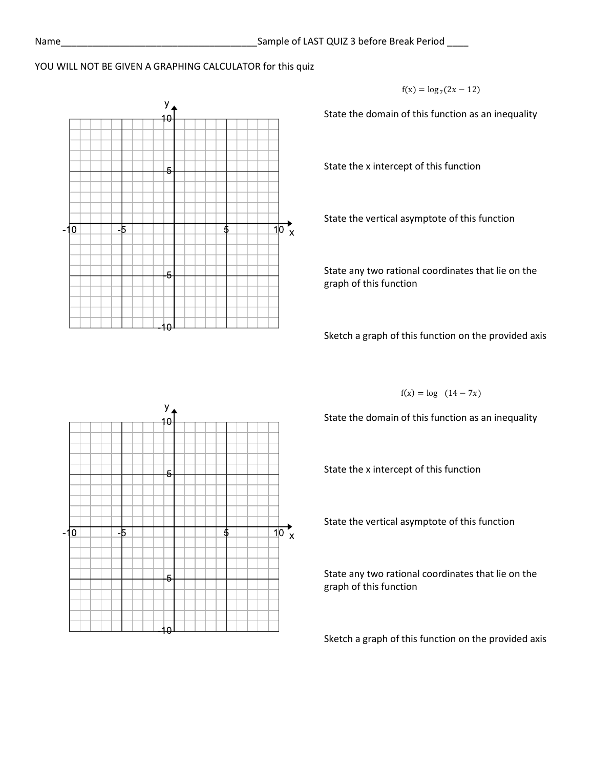## YOU WILL NOT BE GIVEN A GRAPHING CALCULATOR for this quiz



 $f(x) = log_7(2x - 12)$ 

State the domain of this function as an inequality

State the x intercept of this function

State the vertical asymptote of this function

State any two rational coordinates that lie on the graph of this function

Sketch a graph of this function on the provided axis

 $f(x) = log (14 - 7x)$ 

State the domain of this function as an inequality

State the x intercept of this function

State the vertical asymptote of this function

State any two rational coordinates that lie on the graph of this function

Sketch a graph of this function on the provided axis

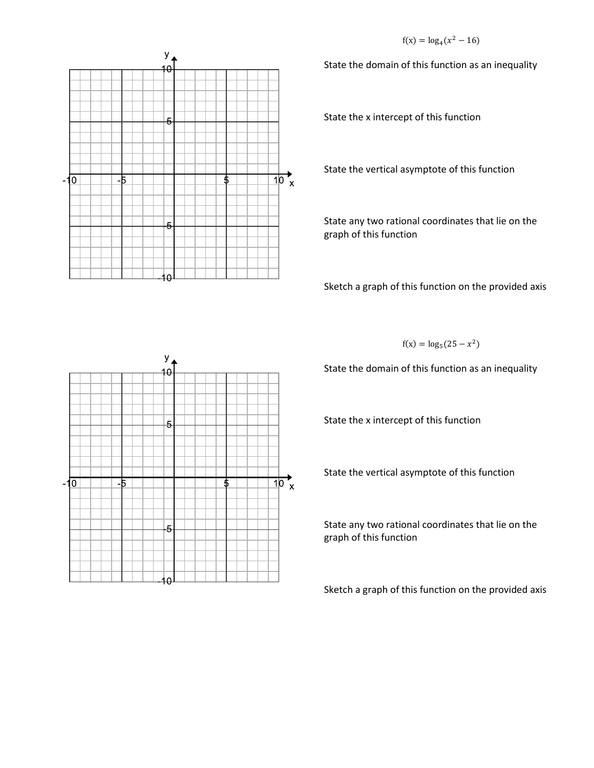$f(x) = log_4(x^2 - 16)$ 



State the domain of this function as an inequality

State the x intercept of this function

State the vertical asymptote of this function

State any two rational coordinates that lie on the graph of this function

Sketch a graph of this function on the provided axis

 $f(x) = log_5(25 - x^2)$ 

State the domain of this function as an inequality

State the x intercept of this function

State the vertical asymptote of this function

State any two rational coordinates that lie on the graph of this function

Sketch a graph of this function on the provided axis

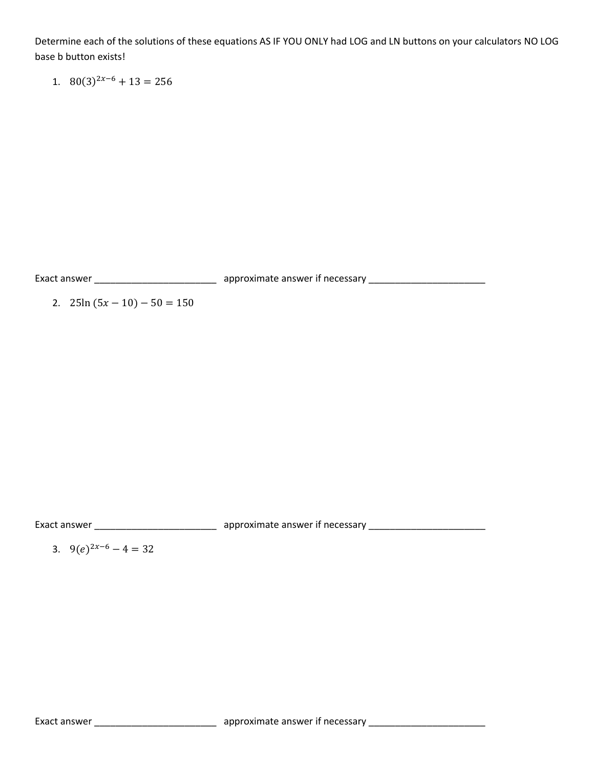Determine each of the solutions of these equations AS IF YOU ONLY had LOG and LN buttons on your calculators NO LOG base b button exists!

1.  $80(3)^{2x-6} + 13 = 256$ 

Exact answer \_\_\_\_\_\_\_\_\_\_\_\_\_\_\_\_\_\_\_\_\_\_\_ approximate answer if necessary \_\_\_\_\_\_\_\_\_\_\_\_\_\_\_\_\_\_\_\_\_\_

2.  $25\ln(5x-10) - 50 = 150$ 

Exact answer \_\_\_\_\_\_\_\_\_\_\_\_\_\_\_\_\_\_\_\_\_\_\_\_\_\_\_\_\_\_\_\_\_\_ approximate answer if necessary \_\_\_\_\_\_\_\_\_\_\_\_\_\_\_\_\_\_\_\_\_\_\_\_\_\_\_\_\_\_

3. 9 $(e)^{2x-6} - 4 = 32$